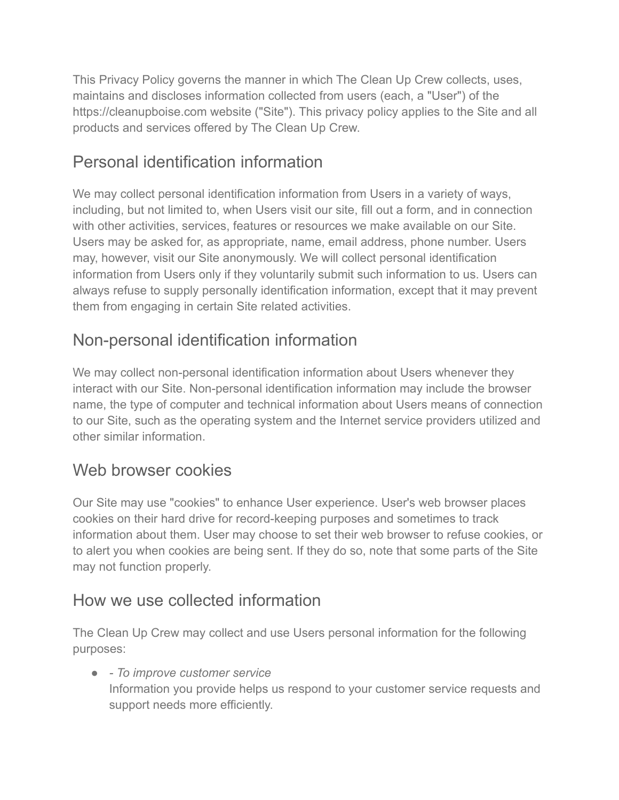This Privacy Policy governs the manner in which The Clean Up Crew collects, uses, maintains and discloses information collected from users (each, a "User") of the https://cleanupboise.com website ("Site"). This privacy policy applies to the Site and all products and services offered by The Clean Up Crew.

# Personal identification information

We may collect personal identification information from Users in a variety of ways, including, but not limited to, when Users visit our site, fill out a form, and in connection with other activities, services, features or resources we make available on our Site. Users may be asked for, as appropriate, name, email address, phone number. Users may, however, visit our Site anonymously. We will collect personal identification information from Users only if they voluntarily submit such information to us. Users can always refuse to supply personally identification information, except that it may prevent them from engaging in certain Site related activities.

# Non-personal identification information

We may collect non-personal identification information about Users whenever they interact with our Site. Non-personal identification information may include the browser name, the type of computer and technical information about Users means of connection to our Site, such as the operating system and the Internet service providers utilized and other similar information.

# Web browser cookies

Our Site may use "cookies" to enhance User experience. User's web browser places cookies on their hard drive for record-keeping purposes and sometimes to track information about them. User may choose to set their web browser to refuse cookies, or to alert you when cookies are being sent. If they do so, note that some parts of the Site may not function properly.

# How we use collected information

The Clean Up Crew may collect and use Users personal information for the following purposes:

● *- To improve customer service* Information you provide helps us respond to your customer service requests and support needs more efficiently.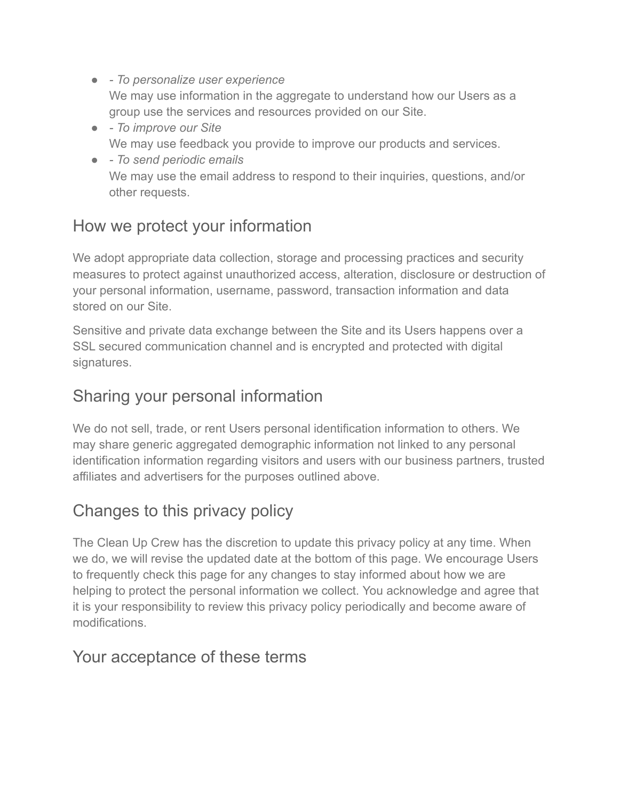- *To personalize user experience* We may use information in the aggregate to understand how our Users as a group use the services and resources provided on our Site.
- *To improve our Site* We may use feedback you provide to improve our products and services.
- *To send periodic emails* We may use the email address to respond to their inquiries, questions, and/or other requests.

### How we protect your information

We adopt appropriate data collection, storage and processing practices and security measures to protect against unauthorized access, alteration, disclosure or destruction of your personal information, username, password, transaction information and data stored on our Site.

Sensitive and private data exchange between the Site and its Users happens over a SSL secured communication channel and is encrypted and protected with digital signatures.

### Sharing your personal information

We do not sell, trade, or rent Users personal identification information to others. We may share generic aggregated demographic information not linked to any personal identification information regarding visitors and users with our business partners, trusted affiliates and advertisers for the purposes outlined above.

# Changes to this privacy policy

The Clean Up Crew has the discretion to update this privacy policy at any time. When we do, we will revise the updated date at the bottom of this page. We encourage Users to frequently check this page for any changes to stay informed about how we are helping to protect the personal information we collect. You acknowledge and agree that it is your responsibility to review this privacy policy periodically and become aware of modifications.

#### Your acceptance of these terms